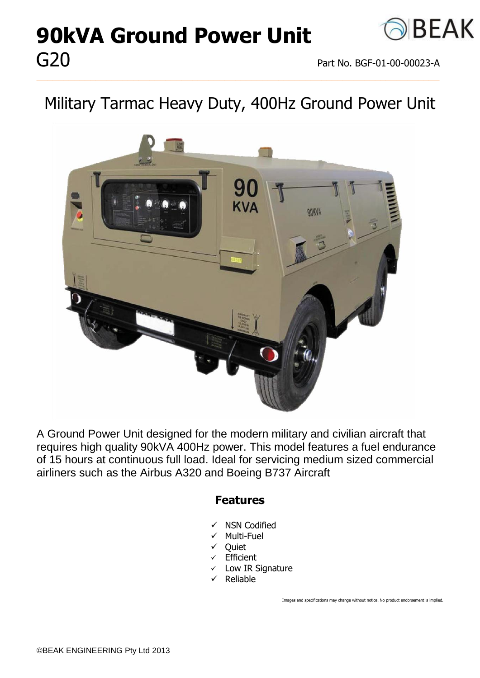# **90kVA Ground Power Unit** G20 Part No. BGF-01-00-00023-A



## Military Tarmac Heavy Duty, 400Hz Ground Power Unit

**\_\_\_\_\_\_\_\_\_\_\_\_\_\_\_\_\_\_\_\_\_\_\_\_\_\_\_\_\_\_\_\_\_\_\_\_\_\_\_\_\_\_\_\_\_\_\_\_\_\_\_\_\_\_\_\_\_\_\_\_\_\_\_\_\_\_\_\_\_\_\_\_\_\_\_**



A Ground Power Unit designed for the modern military and civilian aircraft that requires high quality 90kVA 400Hz power. This model features a fuel endurance of 15 hours at continuous full load. Ideal for servicing medium sized commercial airliners such as the Airbus A320 and Boeing B737 Aircraft

#### **Features**

- $\checkmark$  NSN Codified
- $\checkmark$  Multi-Fuel
- **Ouiet**
- **Efficient**
- $\checkmark$  Low IR Signature
- $\checkmark$  Reliable

Images and specifications may change without notice. No product endorsement is implied.